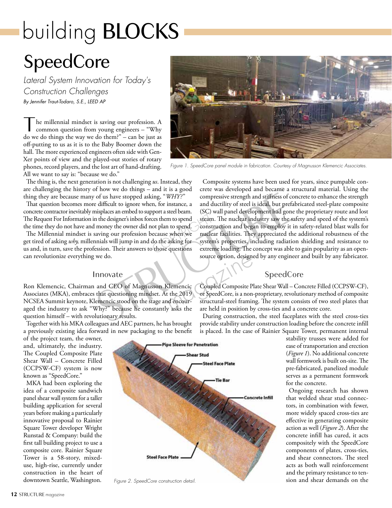# building BLOCKS

# **SpeedCore**

*Lateral System Innovation for Today's Construction Challenges By Jennifer Traut-Todaro, S.E., LEED AP*

The millennial mindset is saving our profession. A common question from young engineers – "Why do we do things the way we do them?" can be just as do we do things the way we do them?" – can be just as off-putting to us as it is to the Baby Boomer down the hall. The more experienced engineers often side with Gen-Xer points of view and the played-out stories of rotary phones, record players, and the lost art of hand-drafting. All we want to say is: "because we do."

*Figure 1. SpeedCore panel module in fabrication. Courtesy of Magnusson Klemencic Associates.*

The thing is, the next generation is not challenging *us*. Instead, they are challenging the history of how we do things – and it is a good thing they are because many of us have stopped asking, "*WHY?*"

That question becomes more difficult to ignore when, for instance, a concrete contractor inevitably misplaces an embed to support a steel beam. The Request For Information in the designer's inbox forces them to spend the time they do not have and money the owner did not plan to spend.

The Millennial mindset is saving our profession because when we get tired of asking *why,* millennials will jump in and do the asking for us and, in turn, save the profession. Their answers to those questions can revolutionize everything we do.

#### Innovate

Ron Klemencic, Chairman and CEO of Magnusson Klemencic Associates (MKA), embraces that questioning mindset. At the 2019 NCSEA Summit keynote, Klemencic stood on the stage and encouraged the industry to ask "Why?" because he constantly asks the question himself – with revolutionary results.

Together with his MKA colleagues and AEC partners, he has brought a previously existing idea forward in new packaging to the benefit

of the project team, the owner, and, ultimately, the industry. The Coupled Composite Plate Shear Wall – Concrete Filled (CCPSW-CF) system is now known as "SpeedCore."

MKA had been exploring the idea of a composite sandwich panel shear wall system for a taller building application for several years before making a particularly innovative proposal to Rainier Square Tower developer Wright Runstad & Company: build the first tall building project to use a composite core. Rainier Square Tower is a 58-story, mixeduse, high-rise, currently under construction in the heart of downtown Seattle, Washington.



*Figure 2. SpeedCore construction detail.*

Composite systems have been used for years, since pumpable concrete was developed and became a structural material. Using the compressive strength and stiffness of concrete to enhance the strength and ductility of steel is ideal, but prefabricated steel-plate composite (SC) wall panel development had gone the proprietary route and lost steam. The nuclear industry saw the safety and speed of the system's construction and began to employ it in safety-related blast walls for nuclear facilities. They appreciated the additional robustness of the system's properties, including radiation shielding and resistance to extreme loading. The concept was able to gain popularity as an opensource option, designed by any engineer and built by any fabricator.

#### SpeedCore

Coupled Composite Plate Shear Wall – Concrete Filled (CCPSW-CF), or SpeedCore, is a non-proprietary, revolutionary method of composite structural-steel framing. The system consists of two steel plates that are held in position by cross-ties and a concrete core.

During construction, the steel faceplates with the steel cross-ties provide stability under construction loading before the concrete infill is placed. In the case of Rainier Square Tower, permanent internal

stability trusses were added for ease of transportation and erection (*Figure 1*). No additional concrete wall formwork is built on-site. The pre-fabricated, panelized module serves as a permanent formwork for the concrete.

Ongoing research has shown that welded shear stud connectors, in combination with fewer, more widely spaced cross-ties are effective in generating composite action as well (*Figure 2*). After the concrete infill has cured, it acts compositely with the SpeedCore components of plates, cross-ties, and shear connectors. The steel acts as both wall reinforcement and the primary resistance to tension and shear demands on the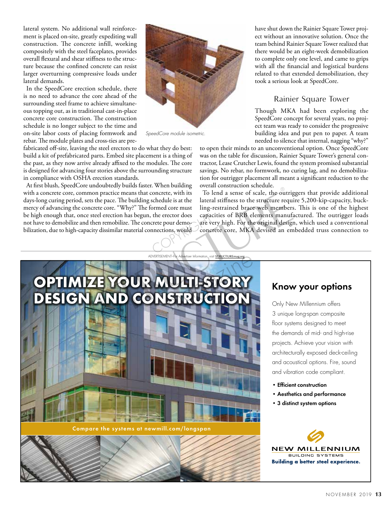lateral system. No additional wall reinforcement is placed on-site, greatly expediting wall construction. The concrete infill, working compositely with the steel faceplates, provides overall flexural and shear stiffness to the structure because the confined concrete can resist larger overturning compressive loads under lateral demands.

In the SpeedCore erection schedule, there is no need to advance the core ahead of the surrounding steel frame to achieve simultaneous topping out, as in traditional cast-in-place concrete core construction. The construction schedule is no longer subject to the time and on-site labor costs of placing formwork and rebar. The module plates and cross-ties are pre-



*SpeedCore module isometric.*

fabricated off-site, leaving the steel erectors to do what they do best: build a kit of prefabricated parts. Embed site placement is a thing of the past, as they now arrive already affixed to the modules. The core is designed for advancing four stories above the surrounding structure in compliance with OSHA erection standards.

At first blush, SpeedCore undoubtedly builds faster. When building with a concrete core, common practice means that concrete, with its days-long curing period, sets the pace. The building schedule is at the mercy of advancing the concrete core. "Why?" The formed core must be high enough that, once steel erection has begun, the erector does not have to demobilize and then remobilize. The concrete pour demobilization, due to high-capacity dissimilar material connections, would

have shut down the Rainier Square Tower project without an innovative solution. Once the team behind Rainier Square Tower realized that there would be an eight-week demobilization to complete only one level, and came to grips with all the financial and logistical burdens related to that extended demobilization, they took a serious look at SpeedCore.

## Rainier Square Tower

Though MKA had been exploring the SpeedCore concept for several years, no project team was ready to consider the progressive building idea and put pen to paper. A team needed to silence that internal, nagging "why?"

to open their minds to an unconventional option. Once SpeedCore was on the table for discussion, Rainier Square Tower's general contractor, Lease Crutcher Lewis, found the system promised substantial savings. No rebar, no formwork, no curing lag, and no demobilization for outrigger placement all meant a significant reduction to the overall construction schedule.

To lend a sense of scale, the outriggers that provide additional lateral stiffness to the structure require 5,200-kip-capacity, buckling-restrained brace web members. This is one of the highest capacities of BRB elements manufactured. The outrigger loads are very high. For the original design, which used a conventional concrete core, MKA devised an embedded truss connection to



Compare the systems at newmill.com/longspan

# Know your options

Only New Millennium offers 3 unique long-span composite floor systems designed to meet the demands of mid- and high-rise projects. Achieve your vision with architecturally exposed deck-ceiling and acoustical options. Fire, sound and vibration code compliant.

- Efficient construction
- Aesthetics and performance
- 3 distinct system options

**NEW MILLENNIL BUILDING SYSTEMS Building a better steel experience.**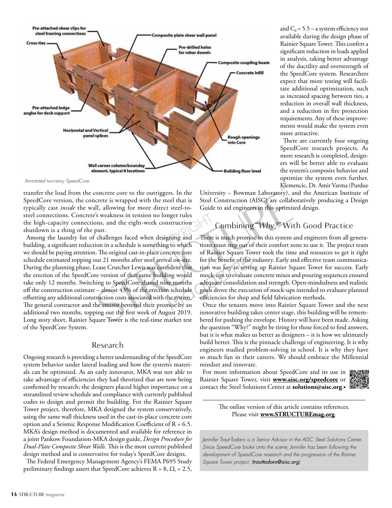

*Annotated two-story SpeedCore.*

transfer the load from the concrete core to the outriggers. In the SpeedCore version, the concrete is wrapped with the steel that is typically cast *inside* the wall, allowing for more direct steel-tosteel connections. Concrete's weakness in tension no longer rules the high-capacity connections, and the eight-week construction shutdown is a thing of the past.

Among the laundry list of challenges faced when designing and building, a significant reduction in a schedule is something to which we should be paying attention. The original cast-in-place concrete core schedule estimated topping out 21 months after steel arrival on-site. During the planning phase, Lease Crutcher Lewis was confident that the erection of the SpeedCore version of that same building would take only 12 months. Switching to SpeedCore shaved nine months off the construction estimate – almost 43% of the erection schedule offsetting any additional construction costs associated with the system. The general contractor and the erector bettered their promise by an additional two months, topping out the first week of August 2019. Long story short, Rainier Square Tower is the real-time market test of the SpeedCore System.

#### Research

Ongoing research is providing a better understanding of the SpeedCore system behavior under lateral loading and how the system's materials can be optimized. As an early innovator, MKA was not able to take advantage of efficiencies they had theorized that are now being confirmed by research; the designers placed higher importance on a streamlined review schedule and compliance with currently published codes to design and permit the building. For the Rainier Square Tower project, therefore, MKA designed the system conservatively, using the same wall thickness used in the cast-in-place concrete core option and a Seismic Response Modification Coefficient of R = 6.5. MKA's design method is documented and available for reference in a joint Pankow Foundation-MKA design guide, *Design Procedure for Dual-Plate Composite Shear Walls*. This is the most current published design method and is conservative for today's SpeedCore designs.

The Federal Emergency Management Agency's FEMA P695 Study preliminary findings assert that SpeedCore achieves  $R = 8$ ,  $\Omega_r = 2.5$ ,

and  $C_d = 5.5 - a$  system efficiency not available during the design phase of Rainier Square Tower. This confers a significant reduction in loads applied in analysis, taking better advantage of the ductility and overstrength of the SpeedCore system. Researchers expect that more testing will facilitate additional optimization, such as increased spacing between ties, a reduction in overall wall thickness, and a reduction in fire protection requirements. Any of these improvements would make the system even more attractive.

There are currently four ongoing SpeedCore research projects. As more research is completed, designers will be better able to evaluate the system's composite behavior and optimize the system even further. Klemencic, Dr. Amit Varma (Purdue

University – Bowman Laboratory), and the American Institute of Steel Construction (AISC) are collaboratively producing a Design Guide to aid engineers in this optimized design.

# Combining "*Why?*" With Good Practice

There is much promise in this system and engineers from all generations must step out of their comfort zone to use it. The project team of Rainier Square Tower took the time and resources to get it right for the benefit of the industry. Early and effective team communication was key in setting up Rainier Square Tower for success. Early mock-ups to evaluate concrete mixes and pouring sequences ensured adequate consolidation and strength. Open-mindedness and realistic goals drove the execution of mock-ups intended to evaluate planned efficiencies for shop and field fabrication methods.

Once the tenants move into Rainier Square Tower and the next innovative building takes center stage, this building will be remembered for pushing the envelope. History will have been made. Asking the question "Why?" might be tiring for those forced to find answers, but it is what makes us better as designers – it is how we ultimately build better. This is the pinnacle challenge of engineering. It is why engineers studied problem-solving in school. It is why they have so much fun in their careers. We should embrace the Millennial mindset and innovate.

For more information about SpeedCore and its use in Rainier Square Tower, visit **www.aisc.org/speedcore** or contact the Steel Solutions Center at **solutions@aisc.org**.■



The online version of this article contains references. Please visit **www.STRUCTUREmag.org**.

*Jennifer Traut-Todaro is a Senior Advisor in the AISC Steel Solutions Center. Since SpeedCore broke onto the scene, Jennifer has been following the development of SpeedCore research and the progression of the Rainier Square Tower project. (trauttodaro@aisc.org)*